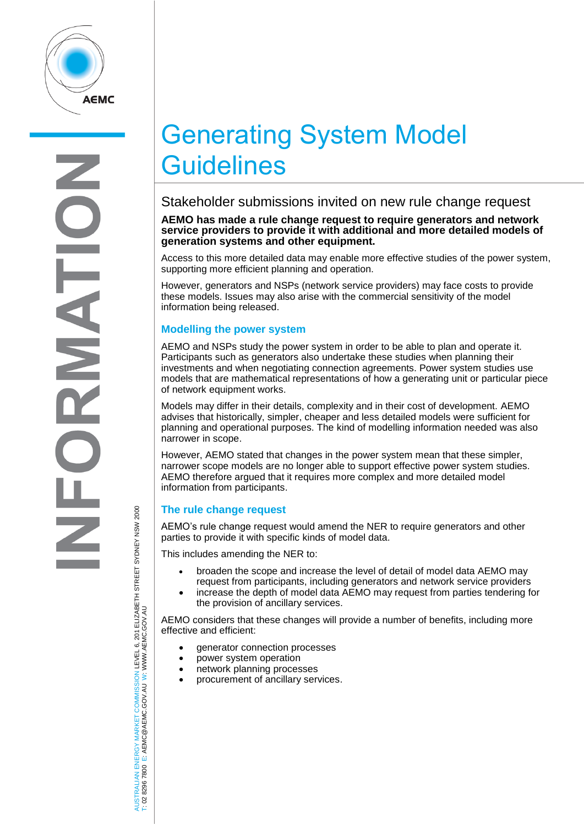

# Generating System Model **Guidelines**

## Stakeholder submissions invited on new rule change request

#### **AEMO has made a rule change request to require generators and network service providers to provide it with additional and more detailed models of generation systems and other equipment.**

Access to this more detailed data may enable more effective studies of the power system, supporting more efficient planning and operation.

However, generators and NSPs (network service providers) may face costs to provide these models. Issues may also arise with the commercial sensitivity of the model information being released.

### **Modelling the power system**

AEMO and NSPs study the power system in order to be able to plan and operate it. Participants such as generators also undertake these studies when planning their investments and when negotiating connection agreements. Power system studies use models that are mathematical representations of how a generating unit or particular piece of network equipment works.

Models may differ in their details, complexity and in their cost of development. AEMO advises that historically, simpler, cheaper and less detailed models were sufficient for planning and operational purposes. The kind of modelling information needed was also narrower in scope.

However, AEMO stated that changes in the power system mean that these simpler, narrower scope models are no longer able to support effective power system studies. AEMO therefore argued that it requires more complex and more detailed model information from participants.

## **The rule change request**

AEMO's rule change request would amend the NER to require generators and other parties to provide it with specific kinds of model data.

This includes amending the NER to:

- broaden the scope and increase the level of detail of model data AEMO may request from participants, including generators and network service providers
- increase the depth of model data AEMO may request from parties tendering for the provision of ancillary services.

AEMO considers that these changes will provide a number of benefits, including more effective and efficient:

- generator connection processes
- power system operation
- network planning processes
- procurement of ancillary services.

AUSTRALIAN ENERGY MARKET COMMISSION LEVEL 6, 201 ELIZABETH STREET SYDNEY NSM 2000<br>T: 02 8296 7800 E: AEMC@AEMC.GOV.AU W: WWW.AEMC.GOV.AU AUSTRALIAN ENERGY MARKET COMMISSION LEVEL 6, 201 ELIZABETH STREET SYDNEY NSW 2000 W: WWW.AEMC.GOV.AU T: 02 8296 7800 E: AEMC@AEMC.GOV.AU